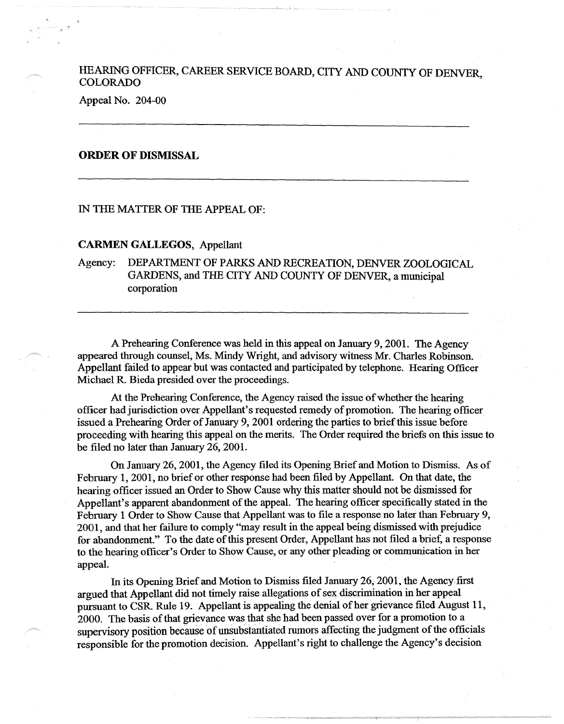## HEARING OFFICER, CAREER SERVICE BOARD, CITY AND COUNTY OF DENVER **COLORADO**

l. --•

Appeal No. 204-00

## **ORDER OF DISMISSAL**

## IN THE MATTER OF THE APPEAL OF:

## **CARMEN GALLEGOS,** Appellant

Agency: DEPARTMENT OF PARKS AND RECREATION, DENVER ZOOLOGICAL GARDENS, and THE CITY AND COUNTY OF DENVER, a municipal corporation

A Prehearing Conference was held in this appeal on January 9, 2001. The Agency appeared through counsel, Ms. Mindy Wright, and advisory witness Mr. Charles Robinson. Appellant failed to appear but was contacted and participated by telephone. Hearing Officer Michael R. Bieda presided over the proceedings.

At the Prehearing Conference, the Agency raised the issue of whether the hearing officer had jurisdiction over Appellant's requested remedy of promotion. The hearing officer issued a Prehearing Order of January 9, 2001 ordering the parties to brief this issue before proceeding with hearing this appeal on the merits. The Order required the briefs on this issue to be filed no later than January 26, 2001.

On January 26, 2001, the Agency filed its Opening Brief and Motion to Dismiss. As of February 1, 2001, no brief or other response had been filed by Appellant. On that date, the hearing officer issued an Order to Show Cause why this matter should not be dismissed for Appellant's apparent abandonment of the appeal. The hearing officer specifically stated in the February 1 Order to Show Cause that Appellant was to file a response no later than February 9, 2001, and that her failure to comply "may result in the appeal being dismissed with prejudice for abandonment." To the date of this present Order, Appellant has not filed a brief, a response to the hearing officer's Order to Show Cause, or any other pleading or communication in her appeal.

In its Opening Brief and Motion to Dismiss filed January 26, 2001, the Agency first argued that Appellant did not timely raise allegations of sex discrimination in her appeal pursuant to CSR Rule 19. Appellant is appealing the denial of her grievance filed August 11, 2000. The basis of that grievance was that she had been passed over for a promotion to a supervisory position because of unsubstantiated rumors affecting the judgment of the officials responsible for the promotion decision. Appellant's right to challenge the Agency's decision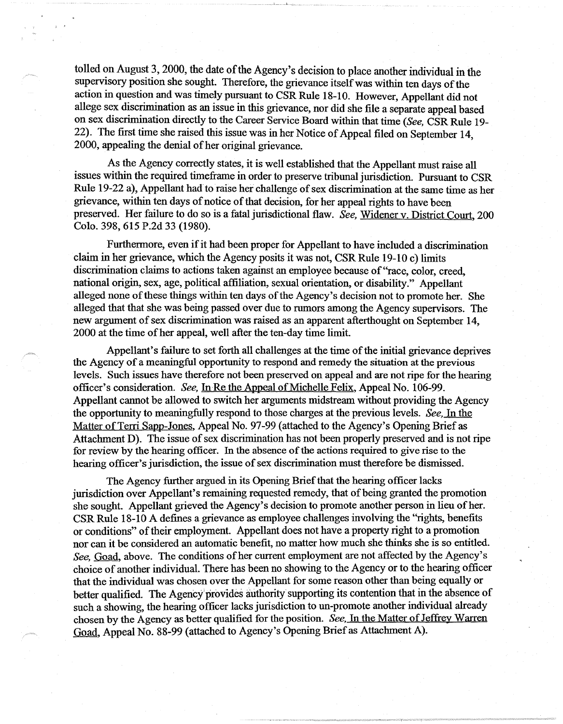tolled on August 3, 2000, the date of the Agency's decision to place another individual in the supervisory position she sought. Therefore, the grievance itself was within ten days of the action in question and was timely pursuant to CSR Rule 18-10. However, Appellant did not allege sex discrimination as an issue in this grievance, nor did she file a separate appeal based on sex discrimination directly to the Career Service Board within that time *(See,* CSR Rule 19- 22). The first time she raised this issue was in her Notice of Appeal filed on September 14, 2000, appealing the denial of her original grievance.

As the Agency correctly states, it is well established that the Appellant must raise all issues within the required timeframe in order to preserve tribunal jurisdiction. Pursuant to CSR Rule 19-22 a), Appellant had to raise her challenge of sex discrimination at the same time as her grievance, within ten days of notice of that decision, for her appeal rights to have been preserved. Her failure to do so is a fatal jurisdictional flaw. *See,* Widener v. District Court, 200 Colo. 398, 615 P.2d 33 (1980).

Furthermore, even if it had been proper for Appellant to have included a discrimination claim in her grievance, which the Agency posits it was not, CSR Rule 19-10 c) limits discrimination claims to actions taken against an employee because of "race, color, creed, national origin, sex, age, political affiliation, sexual orientation, or disability." Appellant alleged none of these things within ten days of the Agency's decision not to promote her. She alleged that that she was being passed over due to rumors among the Agency supervisors. The new argument of sex discrimination was raised as an apparent afterthought on September 14, 2000 at the time of her appeal, well after the ten-day time limit.

Appellant's failure to set forth all challenges at the time of the initial grievance deprives the Agency of a meaningful opportunity to respond and remedy the situation at the previous levels. Such issues have therefore not been preserved on appeal and are not ripe for the hearing officer's consideration. *See*, In Re the Appeal of Michelle Felix, Appeal No. 106-99. Appellant cannot be allowed to switch her arguments midstream without providing the Agency the opportunity to meaningfully respond to those charges at the previous levels. *See.* In the Matter of Terri Sapp-Jones, Appeal No. 97-99 (attached to the Agency's Opening Brief as Attachment D). The issue of sex discrimination has not been properly preserved and is not ripe for review by the hearing officer. In the absence of the actions required to give rise to the hearing officer's jurisdiction, the issue of sex discrimination must therefore be dismissed.

The Agency further argued in its Opening Brief that the hearing officer lacks jurisdiction over Appellant's remaining requested remedy, that of being granted the promotion she sought. Appellant grieved the Agency's decision to promote another person in lieu of her. CSR Rule 18-10 A defines a grievance as employee challenges involving the "rights, benefits or conditions" of their employment. Appellant does not have a property right to a promotion nor can it be considered an automatic benefit, no matter how much she thinks she is so entitled. *See,* Goad, above. The conditions of her current employment are not affected by the Agency's choice of another individual. There has been no showing to the Agency or to the hearing officer that the individual was chosen over the Appellant for some reason other than being equally or better qualified. The Agency provides authority supporting its contention that in the absence of such a showing, the hearing officer lacks jurisdiction to un-promote another individual already chosen by the Agency as better qualified for the position. *See,* In the Matter of Jeffrey Warren Goad, Appeal No. 88-99 (attached to Agency's Opening Brief as Attachment A).